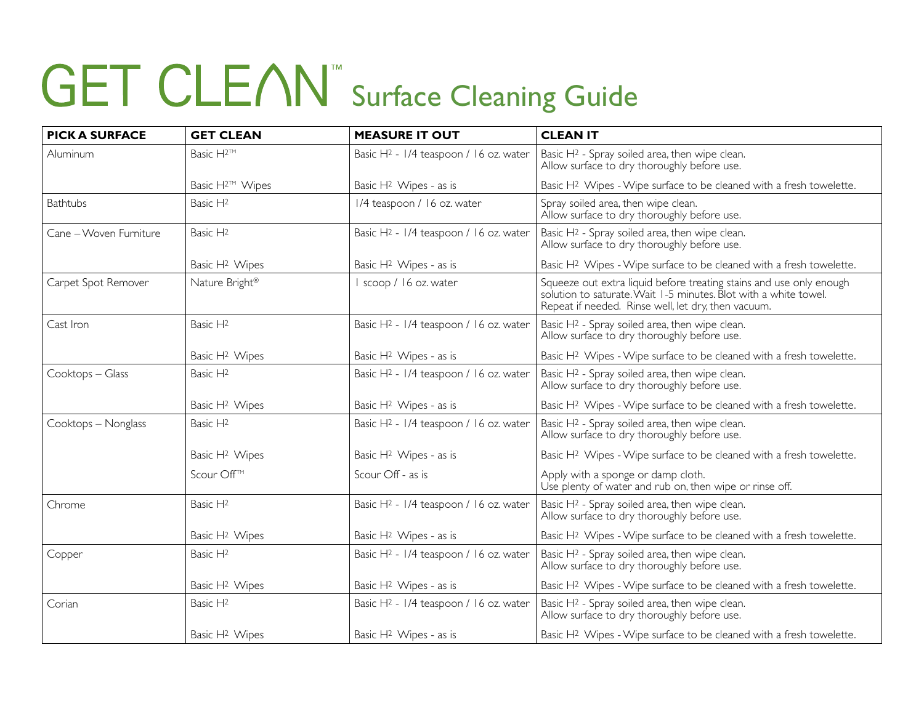| <b>PICK A SURFACE</b>  | <b>GET CLEAN</b>            | <b>MEASURE IT OUT</b>                              | <b>CLEAN IT</b>                                                                                                                                                                                |
|------------------------|-----------------------------|----------------------------------------------------|------------------------------------------------------------------------------------------------------------------------------------------------------------------------------------------------|
| Aluminum               | Basic H <sup>2™</sup>       | Basic H <sup>2</sup> - 1/4 teaspoon / 16 oz. water | Basic H <sup>2</sup> - Spray soiled area, then wipe clean.<br>Allow surface to dry thoroughly before use.                                                                                      |
|                        | Basic H <sup>2™</sup> Wipes | Basic H <sup>2</sup> Wipes - as is                 | Basic H <sup>2</sup> Wipes - Wipe surface to be cleaned with a fresh towelette.                                                                                                                |
| <b>Bathtubs</b>        | Basic H <sub>2</sub>        | 1/4 teaspoon / 16 oz. water                        | Spray soiled area, then wipe clean.<br>Allow surface to dry thoroughly before use.                                                                                                             |
| Cane - Woven Furniture | Basic H <sup>2</sup>        | Basic H <sub>2</sub> - 1/4 teaspoon / 16 oz. water | Basic H <sup>2</sup> - Spray soiled area, then wipe clean.<br>Allow surface to dry thoroughly before use.                                                                                      |
|                        | Basic H <sup>2</sup> Wipes  | Basic H <sup>2</sup> Wipes - as is                 | Basic H <sup>2</sup> Wipes - Wipe surface to be cleaned with a fresh towelette.                                                                                                                |
| Carpet Spot Remover    | Nature Bright®              | scoop / 16 oz. water                               | Squeeze out extra liquid before treating stains and use only enough<br>solution to saturate. Wait 1-5 minutes. Blot with a white towel.<br>Repeat if needed. Rinse well, let dry, then vacuum. |
| Cast Iron              | Basic $H^2$                 | Basic H <sup>2</sup> - 1/4 teaspoon / 16 oz. water | Basic H <sup>2</sup> - Spray soiled area, then wipe clean.<br>Allow surface to dry thoroughly before use.                                                                                      |
|                        | Basic H <sup>2</sup> Wipes  | Basic H <sup>2</sup> Wipes - as is                 | Basic H <sup>2</sup> Wipes - Wipe surface to be cleaned with a fresh towelette.                                                                                                                |
| Cooktops - Glass       | Basic H <sup>2</sup>        | Basic H <sub>2</sub> - 1/4 teaspoon / 16 oz. water | Basic H <sup>2</sup> - Spray soiled area, then wipe clean.<br>Allow surface to dry thoroughly before use.                                                                                      |
|                        | Basic H <sup>2</sup> Wipes  | Basic H <sup>2</sup> Wipes - as is                 | Basic H <sup>2</sup> Wipes - Wipe surface to be cleaned with a fresh towelette.                                                                                                                |
| Cooktops - Nonglass    | Basic H <sup>2</sup>        | Basic H <sub>2</sub> - 1/4 teaspoon / 16 oz. water | Basic H <sup>2</sup> - Spray soiled area, then wipe clean.<br>Allow surface to dry thoroughly before use.                                                                                      |
|                        | Basic H <sup>2</sup> Wipes  | Basic H <sup>2</sup> Wipes - as is                 | Basic H <sup>2</sup> Wipes - Wipe surface to be cleaned with a fresh towelette.                                                                                                                |
|                        | Scour Off™                  | Scour Off - as is                                  | Apply with a sponge or damp cloth.<br>Use plenty of water and rub on, then wipe or rinse off.                                                                                                  |
| Chrome                 | Basic H <sup>2</sup>        | Basic H <sup>2</sup> - 1/4 teaspoon / 16 oz. water | Basic H <sup>2</sup> - Spray soiled area, then wipe clean.<br>Allow surface to dry thoroughly before use.                                                                                      |
|                        | Basic H <sup>2</sup> Wipes  | Basic H <sup>2</sup> Wipes - as is                 | Basic H <sup>2</sup> Wipes - Wipe surface to be cleaned with a fresh towelette.                                                                                                                |
| Copper                 | Basic H <sup>2</sup>        | Basic H <sup>2</sup> - 1/4 teaspoon / 16 oz. water | Basic H <sup>2</sup> - Spray soiled area, then wipe clean.<br>Allow surface to dry thoroughly before use.                                                                                      |
|                        | Basic H <sup>2</sup> Wipes  | Basic H <sup>2</sup> Wipes - as is                 | Basic H <sup>2</sup> Wipes - Wipe surface to be cleaned with a fresh towelette.                                                                                                                |
| Corian                 | Basic H <sup>2</sup>        | Basic H <sub>2</sub> - 1/4 teaspoon / 16 oz. water | Basic H <sup>2</sup> - Spray soiled area, then wipe clean.<br>Allow surface to dry thoroughly before use.                                                                                      |
|                        | Basic H <sup>2</sup> Wipes  | Basic H <sup>2</sup> Wipes - as is                 | Basic H <sup>2</sup> Wipes - Wipe surface to be cleaned with a fresh towelette.                                                                                                                |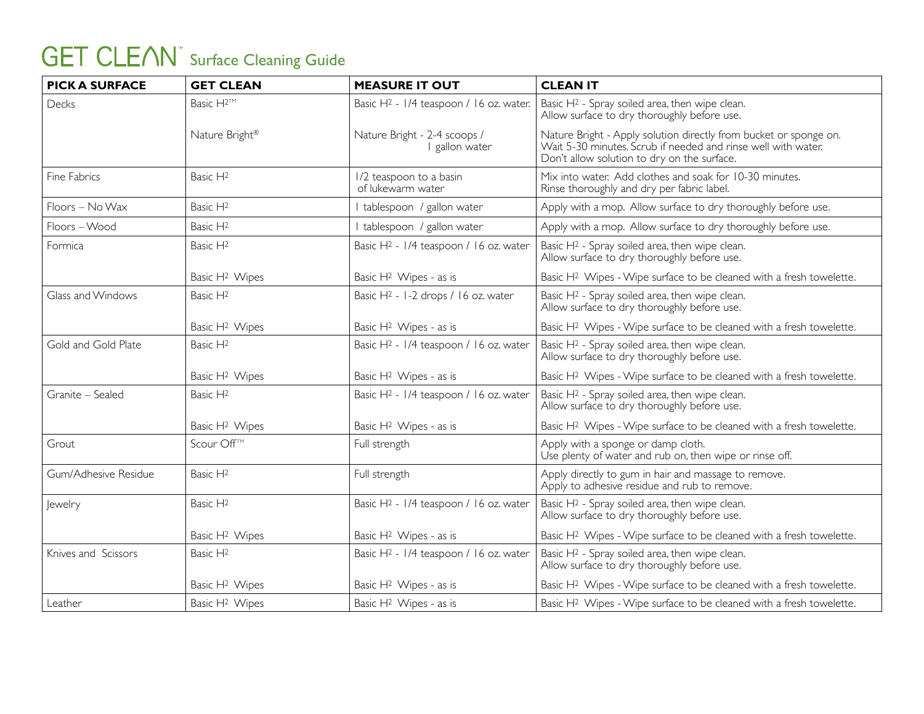| <b>PICK A SURFACE</b> | <b>GET CLEAN</b>           | <b>MEASURE IT OUT</b>                               | <b>CLEAN IT</b>                                                                                                                                                                   |
|-----------------------|----------------------------|-----------------------------------------------------|-----------------------------------------------------------------------------------------------------------------------------------------------------------------------------------|
| Decks                 | Basic H <sup>2™</sup>      | Basic H <sup>2</sup> - 1/4 teaspoon / 16 oz. water. | Basic H <sup>2</sup> - Spray soiled area, then wipe clean.<br>Allow surface to dry thoroughly before use.                                                                         |
|                       | Nature Bright®             | Nature Bright - 2-4 scoops /<br>I gallon water      | Nature Bright - Apply solution directly from bucket or sponge on.<br>Wait 5-30 minutes. Scrub if needed and rinse well with water.<br>Don't allow solution to dry on the surface. |
| Fine Fabrics          | Basic H <sub>2</sub>       | 1/2 teaspoon to a basin<br>of lukewarm water        | Mix into water. Add clothes and soak for 10-30 minutes.<br>Rinse thoroughly and dry per fabric label.                                                                             |
| Floors - No Wax       | Basic H <sub>2</sub>       | I tablespoon / gallon water                         | Apply with a mop. Allow surface to dry thoroughly before use.                                                                                                                     |
| Floors-Wood           | Basic H <sub>2</sub>       | I tablespoon / gallon water                         | Apply with a mop. Allow surface to dry thoroughly before use.                                                                                                                     |
| Formica               | Basic H <sub>2</sub>       | Basic H <sup>2</sup> - 1/4 teaspoon / 16 oz. water  | Basic H <sup>2</sup> - Spray soiled area, then wipe clean.<br>Allow surface to dry thoroughly before use.                                                                         |
|                       | Basic H <sup>2</sup> Wipes | Basic H <sup>2</sup> Wipes - as is                  | Basic H <sup>2</sup> Wipes - Wipe surface to be cleaned with a fresh towelette.                                                                                                   |
| Glass and Windows     | Basic H <sup>2</sup>       | Basic H <sub>2</sub> - 1-2 drops / 16 oz. water     | Basic H <sup>2</sup> - Spray soiled area, then wipe clean.<br>Allow surface to dry thoroughly before use.                                                                         |
|                       | Basic H <sup>2</sup> Wipes | Basic H <sup>2</sup> Wipes - as is                  | Basic H <sup>2</sup> Wipes - Wipe surface to be cleaned with a fresh towelette.                                                                                                   |
| Gold and Gold Plate   | Basic H <sup>2</sup>       | Basic H <sup>2</sup> - 1/4 teaspoon / 16 oz. water  | Basic H <sup>2</sup> - Spray soiled area, then wipe clean.<br>Allow surface to dry thoroughly before use.                                                                         |
|                       | Basic H <sup>2</sup> Wipes | Basic H <sup>2</sup> Wipes - as is                  | Basic H <sup>2</sup> Wipes - Wipe surface to be cleaned with a fresh towelette.                                                                                                   |
| Granite - Sealed      | Basic H <sub>2</sub>       | Basic H <sup>2</sup> - 1/4 teaspoon / 16 oz. water  | Basic H <sup>2</sup> - Spray soiled area, then wipe clean.<br>Allow surface to dry thoroughly before use.                                                                         |
|                       | Basic H <sup>2</sup> Wipes | Basic H <sup>2</sup> Wipes - as is                  | Basic H <sup>2</sup> Wipes - Wipe surface to be cleaned with a fresh towelette.                                                                                                   |
| Grout                 | Scour Off™                 | Full strength                                       | Apply with a sponge or damp cloth.<br>Use plenty of water and rub on, then wipe or rinse off.                                                                                     |
| Gum/Adhesive Residue  | Basic H <sub>2</sub>       | Full strength                                       | Apply directly to gum in hair and massage to remove.<br>Apply to adhesive residue and rub to remove.                                                                              |
| Jewelry               | Basic H <sub>2</sub>       | Basic H <sup>2</sup> - 1/4 teaspoon / 16 oz. water  | Basic H <sup>2</sup> - Spray soiled area, then wipe clean.<br>Allow surface to dry thoroughly before use.                                                                         |
|                       | Basic H <sup>2</sup> Wipes | Basic H <sup>2</sup> Wipes - as is                  | Basic H <sup>2</sup> Wipes - Wipe surface to be cleaned with a fresh towelette.                                                                                                   |
| Knives and Scissors   | Basic H <sup>2</sup>       | Basic H <sup>2</sup> - 1/4 teaspoon / 16 oz. water  | Basic H <sup>2</sup> - Spray soiled area, then wipe clean.<br>Allow surface to dry thoroughly before use.                                                                         |
|                       | Basic H <sup>2</sup> Wipes | Basic H <sup>2</sup> Wipes - as is                  | Basic H <sup>2</sup> Wipes - Wipe surface to be cleaned with a fresh towelette.                                                                                                   |
| Leather               | Basic H <sup>2</sup> Wipes | Basic H <sup>2</sup> Wipes - as is                  | Basic H <sup>2</sup> Wipes - Wipe surface to be cleaned with a fresh towelette.                                                                                                   |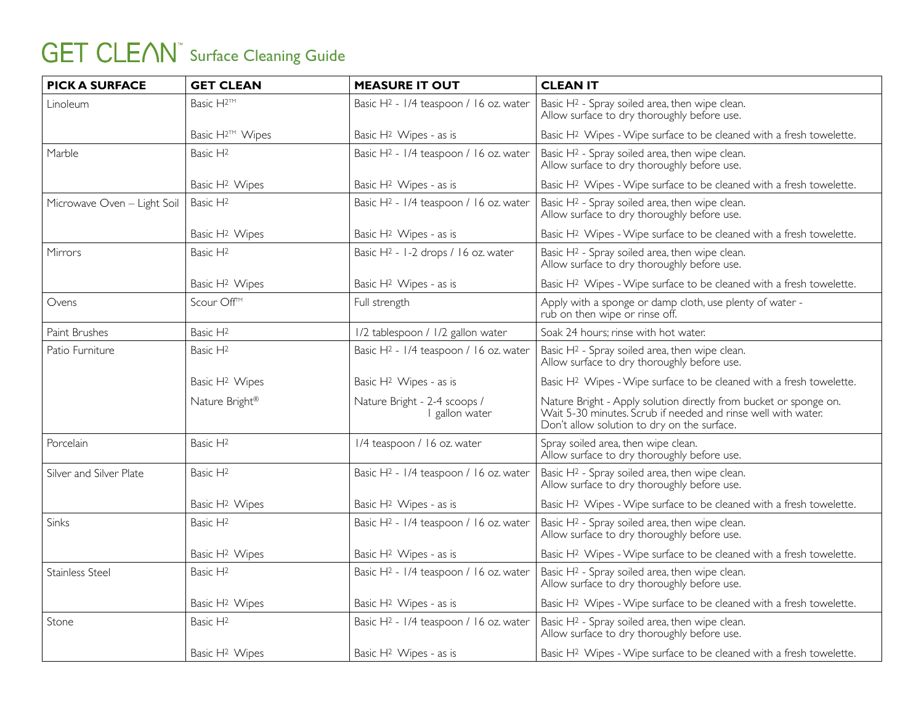| <b>PICK A SURFACE</b>       | <b>GET CLEAN</b>            | <b>MEASURE IT OUT</b>                              | <b>CLEAN IT</b>                                                                                                                                                                   |
|-----------------------------|-----------------------------|----------------------------------------------------|-----------------------------------------------------------------------------------------------------------------------------------------------------------------------------------|
| Linoleum                    | Basic H <sup>2™</sup>       | Basic H <sup>2</sup> - 1/4 teaspoon / 16 oz. water | Basic H <sup>2</sup> - Spray soiled area, then wipe clean.<br>Allow surface to dry thoroughly before use.                                                                         |
|                             | Basic H <sup>2™</sup> Wipes | Basic H <sup>2</sup> Wipes - as is                 | Basic H <sup>2</sup> Wipes - Wipe surface to be cleaned with a fresh towelette.                                                                                                   |
| Marble                      | Basic H <sub>2</sub>        | Basic H <sup>2</sup> - 1/4 teaspoon / 16 oz. water | Basic H <sup>2</sup> - Spray soiled area, then wipe clean.<br>Allow surface to dry thoroughly before use.                                                                         |
|                             | Basic H <sup>2</sup> Wipes  | Basic H <sup>2</sup> Wipes - as is                 | Basic H <sup>2</sup> Wipes - Wipe surface to be cleaned with a fresh towelette.                                                                                                   |
| Microwave Oven - Light Soil | Basic H <sup>2</sup>        | Basic H <sup>2</sup> - 1/4 teaspoon / 16 oz. water | Basic H <sup>2</sup> - Spray soiled area, then wipe clean.<br>Allow surface to dry thoroughly before use.                                                                         |
|                             | Basic H <sup>2</sup> Wipes  | Basic H <sup>2</sup> Wipes - as is                 | Basic H <sup>2</sup> Wipes - Wipe surface to be cleaned with a fresh towelette.                                                                                                   |
| <b>Mirrors</b>              | Basic H <sup>2</sup>        | Basic H <sup>2</sup> - 1-2 drops / 16 oz. water    | Basic H <sup>2</sup> - Spray soiled area, then wipe clean.<br>Allow surface to dry thoroughly before use.                                                                         |
|                             | Basic H <sup>2</sup> Wipes  | Basic H <sup>2</sup> Wipes - as is                 | Basic H <sup>2</sup> Wipes - Wipe surface to be cleaned with a fresh towelette.                                                                                                   |
| Ovens                       | Scour Off™                  | Full strength                                      | Apply with a sponge or damp cloth, use plenty of water -<br>rub on then wipe or rinse off.                                                                                        |
| Paint Brushes               | Basic H <sup>2</sup>        | 1/2 tablespoon / 1/2 gallon water                  | Soak 24 hours; rinse with hot water.                                                                                                                                              |
| Patio Furniture             | Basic H <sub>2</sub>        | Basic H <sup>2</sup> - 1/4 teaspoon / 16 oz. water | Basic H <sup>2</sup> - Spray soiled area, then wipe clean.<br>Allow surface to dry thoroughly before use.                                                                         |
|                             | Basic H <sup>2</sup> Wipes  | Basic H <sup>2</sup> Wipes - as is                 | Basic H <sup>2</sup> Wipes - Wipe surface to be cleaned with a fresh towelette.                                                                                                   |
|                             | Nature Bright®              | Nature Bright - 2-4 scoops /<br>I gallon water     | Nature Bright - Apply solution directly from bucket or sponge on.<br>Wait 5-30 minutes. Scrub if needed and rinse well with water.<br>Don't allow solution to dry on the surface. |
| Porcelain                   | Basic H <sup>2</sup>        | 1/4 teaspoon / 16 oz. water                        | Spray soiled area, then wipe clean.<br>Allow surface to dry thoroughly before use.                                                                                                |
| Silver and Silver Plate     | Basic H <sup>2</sup>        | Basic H <sup>2</sup> - 1/4 teaspoon / 16 oz. water | Basic H <sup>2</sup> - Spray soiled area, then wipe clean.<br>Allow surface to dry thoroughly before use.                                                                         |
|                             | Basic H <sup>2</sup> Wipes  | Basic H <sup>2</sup> Wipes - as is                 | Basic H <sup>2</sup> Wipes - Wipe surface to be cleaned with a fresh towelette.                                                                                                   |
| Sinks                       | Basic H <sub>2</sub>        | Basic H <sup>2</sup> - 1/4 teaspoon / 16 oz. water | Basic H <sup>2</sup> - Spray soiled area, then wipe clean.<br>Allow surface to dry thoroughly before use.                                                                         |
|                             | Basic H <sup>2</sup> Wipes  | Basic H <sup>2</sup> Wipes - as is                 | Basic H <sup>2</sup> Wipes - Wipe surface to be cleaned with a fresh towelette.                                                                                                   |
| Stainless Steel             | Basic H <sup>2</sup>        | Basic H <sup>2</sup> - 1/4 teaspoon / 16 oz. water | Basic H <sup>2</sup> - Spray soiled area, then wipe clean.<br>Allow surface to dry thoroughly before use.                                                                         |
|                             | Basic H <sup>2</sup> Wipes  | Basic H <sup>2</sup> Wipes - as is                 | Basic H <sup>2</sup> Wipes - Wipe surface to be cleaned with a fresh towelette.                                                                                                   |
| Stone                       | Basic H <sup>2</sup>        | Basic H <sup>2</sup> - 1/4 teaspoon / 16 oz. water | Basic H <sup>2</sup> - Spray soiled area, then wipe clean.<br>Allow surface to dry thoroughly before use.                                                                         |
|                             | Basic H <sup>2</sup> Wipes  | Basic H <sup>2</sup> Wipes - as is                 | Basic H <sup>2</sup> Wipes - Wipe surface to be cleaned with a fresh towelette.                                                                                                   |